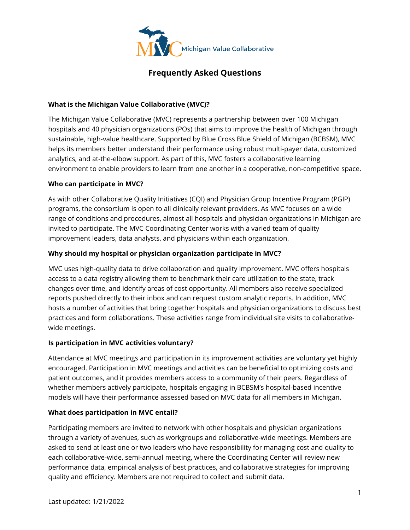

# **Frequently Asked Questions**

## **What is the Michigan Value Collaborative (MVC)?**

The Michigan Value Collaborative (MVC) represents a partnership between over 100 Michigan hospitals and 40 physician organizations (POs) that aims to improve the health of Michigan through sustainable, high-value healthcare. Supported by Blue Cross Blue Shield of Michigan (BCBSM), MVC helps its members better understand their performance using robust multi-payer data, customized analytics, and at-the-elbow support. As part of this, MVC fosters a collaborative learning environment to enable providers to learn from one another in a cooperative, non-competitive space.

## **Who can participate in MVC?**

As with other Collaborative Quality Initiatives (CQI) and Physician Group Incentive Program (PGIP) programs, the consortium is open to all clinically relevant providers. As MVC focuses on a wide range of conditions and procedures, almost all hospitals and physician organizations in Michigan are invited to participate. The MVC Coordinating Center works with a varied team of quality improvement leaders, data analysts, and physicians within each organization.

## **Why should my hospital or physician organization participate in MVC?**

MVC uses high-quality data to drive collaboration and quality improvement. MVC offers hospitals access to a data registry allowing them to benchmark their care utilization to the state, track changes over time, and identify areas of cost opportunity. All members also receive specialized reports pushed directly to their inbox and can request custom analytic reports. In addition, MVC hosts a number of activities that bring together hospitals and physician organizations to discuss best practices and form collaborations. These activities range from individual site visits to collaborativewide meetings.

## **Is participation in MVC activities voluntary?**

Attendance at MVC meetings and participation in its improvement activities are voluntary yet highly encouraged. Participation in MVC meetings and activities can be beneficial to optimizing costs and patient outcomes, and it provides members access to a community of their peers. Regardless of whether members actively participate, hospitals engaging in BCBSM's hospital-based incentive models will have their performance assessed based on MVC data for all members in Michigan.

## **What does participation in MVC entail?**

Participating members are invited to network with other hospitals and physician organizations through a variety of avenues, such as workgroups and collaborative-wide meetings. Members are asked to send at least one or two leaders who have responsibility for managing cost and quality to each collaborative-wide, semi-annual meeting, where the Coordinating Center will review new performance data, empirical analysis of best practices, and collaborative strategies for improving quality and efficiency. Members are not required to collect and submit data.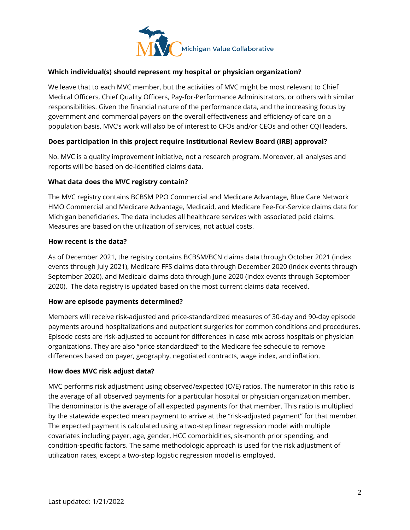

# **Which individual(s) should represent my hospital or physician organization?**

We leave that to each MVC member, but the activities of MVC might be most relevant to Chief Medical Officers, Chief Quality Officers, Pay-for-Performance Administrators, or others with similar responsibilities. Given the financial nature of the performance data, and the increasing focus by government and commercial payers on the overall effectiveness and efficiency of care on a population basis, MVC's work will also be of interest to CFOs and/or CEOs and other CQI leaders.

## **Does participation in this project require Institutional Review Board (IRB) approval?**

No. MVC is a quality improvement initiative, not a research program. Moreover, all analyses and reports will be based on de-identified claims data.

#### **What data does the MVC registry contain?**

The MVC registry contains BCBSM PPO Commercial and Medicare Advantage, Blue Care Network HMO Commercial and Medicare Advantage, Medicaid, and Medicare Fee-For-Service claims data for Michigan beneficiaries. The data includes all healthcare services with associated paid claims. Measures are based on the utilization of services, not actual costs.

#### **How recent is the data?**

As of December 2021, the registry contains BCBSM/BCN claims data through October 2021 (index events through July 2021), Medicare FFS claims data through December 2020 (index events through September 2020), and Medicaid claims data through June 2020 (index events through September 2020). The data registry is updated based on the most current claims data received.

#### **How are episode payments determined?**

Members will receive risk-adjusted and price-standardized measures of 30-day and 90-day episode payments around hospitalizations and outpatient surgeries for common conditions and procedures. Episode costs are risk-adjusted to account for differences in case mix across hospitals or physician organizations. They are also "price standardized" to the Medicare fee schedule to remove differences based on payer, geography, negotiated contracts, wage index, and inflation.

#### **How does MVC risk adjust data?**

MVC performs risk adjustment using observed/expected (O/E) ratios. The numerator in this ratio is the average of all observed payments for a particular hospital or physician organization member. The denominator is the average of all expected payments for that member. This ratio is multiplied by the statewide expected mean payment to arrive at the "risk-adjusted payment" for that member. The expected payment is calculated using a two-step linear regression model with multiple covariates including payer, age, gender, HCC comorbidities, six-month prior spending, and condition-specific factors. The same methodologic approach is used for the risk adjustment of utilization rates, except a two-step logistic regression model is employed.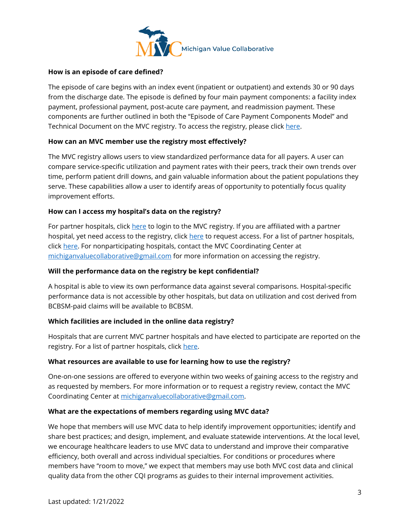

## **How is an episode of care defined?**

The episode of care begins with an index event (inpatient or outpatient) and extends 30 or 90 days from the discharge date. The episode is defined by four main payment components: a facility index payment, professional payment, post-acute care payment, and readmission payment. These components are further outlined in both the "Episode of Care Payment Components Model" and Technical Document on the MVC registry. To access the registry, please click [here.](https://mvc.arbormetrix.com/Registry/login)

## **How can an MVC member use the registry most effectively?**

The MVC registry allows users to view standardized performance data for all payers. A user can compare service-specific utilization and payment rates with their peers, track their own trends over time, perform patient drill downs, and gain valuable information about the patient populations they serve. These capabilities allow a user to identify areas of opportunity to potentially focus quality improvement efforts.

## **How can I access my hospital's data on the registry?**

For partner hospitals, click [here](https://mvc.arbormetrix.com/Registry/login) to login to the MVC registry. If you are affiliated with a partner hospital, yet need access to the registry, clic[k here](https://mvc.arbormetrix.com/Registry/requestAccess) to request access. For a list of partner hospitals, click [here.](https://michiganvalue.org/our-members/) For nonparticipating hospitals, contact the MVC Coordinating Center at [michiganvaluecollaborative@gmail.com](mailto:michiganvaluecollaborative@gmail.com) for more information on accessing the registry.

#### **Will the performance data on the registry be kept confidential?**

A hospital is able to view its own performance data against several comparisons. Hospital-specific performance data is not accessible by other hospitals, but data on utilization and cost derived from BCBSM-paid claims will be available to BCBSM.

#### **Which facilities are included in the online data registry?**

Hospitals that are current MVC partner hospitals and have elected to participate are reported on the registry. For a list of partner hospitals, click [here.](https://michiganvalue.org/our-members/)

#### **What resources are available to use for learning how to use the registry?**

One-on-one sessions are offered to everyone within two weeks of gaining access to the registry and as requested by members. For more information or to request a registry review, contact the MVC Coordinating Center at [michiganvaluecollaborative@gmail.com.](mailto:michiganvaluecollaborative@gmail.com)

#### **What are the expectations of members regarding using MVC data?**

We hope that members will use MVC data to help identify improvement opportunities; identify and share best practices; and design, implement, and evaluate statewide interventions. At the local level, we encourage healthcare leaders to use MVC data to understand and improve their comparative efficiency, both overall and across individual specialties. For conditions or procedures where members have "room to move," we expect that members may use both MVC cost data and clinical quality data from the other CQI programs as guides to their internal improvement activities.